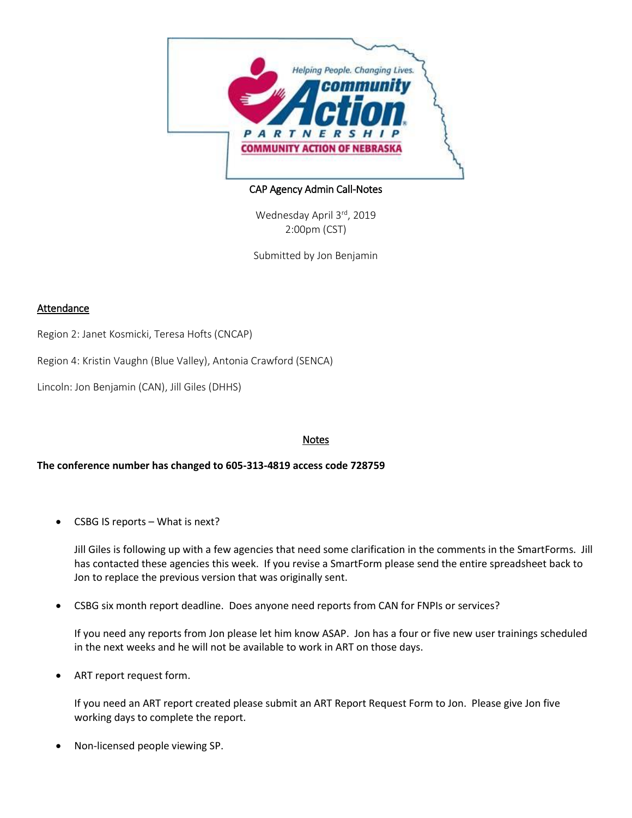

## CAP Agency Admin Call-Notes

Wednesday April 3rd, 2019 2:00pm (CST)

Submitted by Jon Benjamin

## Attendance

Region 2: Janet Kosmicki, Teresa Hofts (CNCAP)

Region 4: Kristin Vaughn (Blue Valley), Antonia Crawford (SENCA)

Lincoln: Jon Benjamin (CAN), Jill Giles (DHHS)

## Notes

**The conference number has changed to 605-313-4819 access code 728759**

CSBG IS reports – What is next?

Jill Giles is following up with a few agencies that need some clarification in the comments in the SmartForms. Jill has contacted these agencies this week. If you revise a SmartForm please send the entire spreadsheet back to Jon to replace the previous version that was originally sent.

CSBG six month report deadline. Does anyone need reports from CAN for FNPIs or services?

If you need any reports from Jon please let him know ASAP. Jon has a four or five new user trainings scheduled in the next weeks and he will not be available to work in ART on those days.

ART report request form.

If you need an ART report created please submit an ART Report Request Form to Jon. Please give Jon five working days to complete the report.

Non-licensed people viewing SP.